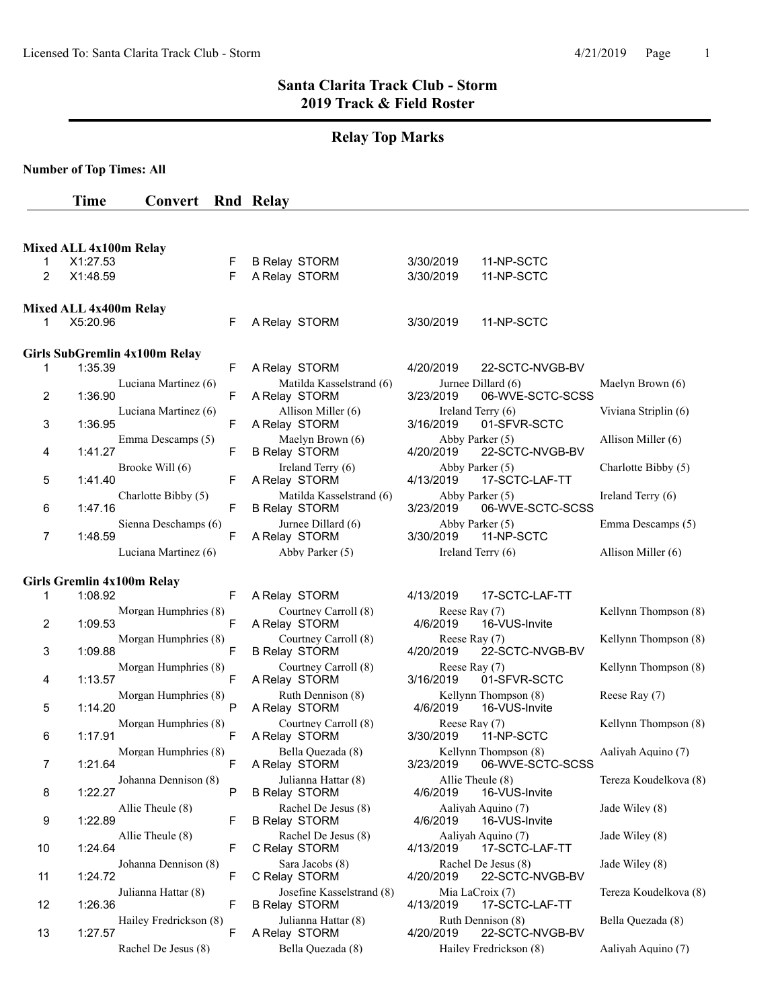# **Relay Top Marks**

**Number of Top Times: All**

# **Time Convert Rnd Relay**

|                | Mixed ALL 4x100m Relay                |    |                                                   |                            |                                          |                       |
|----------------|---------------------------------------|----|---------------------------------------------------|----------------------------|------------------------------------------|-----------------------|
| 1              | X1:27.53                              | F  | <b>B Relay STORM</b>                              | 3/30/2019                  | 11-NP-SCTC                               |                       |
| 2              | X1:48.59                              | F  | A Relay STORM                                     | 3/30/2019                  | 11-NP-SCTC                               |                       |
|                | Mixed ALL 4x400m Relay                |    |                                                   |                            |                                          |                       |
| 1              | X5:20.96                              | F  | A Relay STORM                                     | 3/30/2019                  | 11-NP-SCTC                               |                       |
|                | Girls SubGremlin 4x100m Relay         |    |                                                   |                            |                                          |                       |
| 1              | 1:35.39                               | F  | A Relay STORM                                     | 4/20/2019                  | 22-SCTC-NVGB-BV                          |                       |
|                | Luciana Martinez (6)                  |    | Matilda Kasselstrand (6)                          |                            | Jurnee Dillard (6)                       | Maelyn Brown (6)      |
| $\overline{2}$ | 1:36.90                               | F. | A Relay STORM                                     | 3/23/2019                  | 06-WVE-SCTC-SCSS                         |                       |
|                | Luciana Martinez (6)                  |    | Allison Miller (6)                                |                            | Ireland Terry (6)                        | Viviana Striplin (6)  |
| 3              | 1:36.95                               | F  | A Relay STORM                                     | 3/16/2019                  | 01-SFVR-SCTC                             |                       |
|                | Emma Descamps (5)<br>1:41.27          | F  | Maelyn Brown (6)                                  | 4/20/2019                  | Abby Parker (5)<br>22-SCTC-NVGB-BV       | Allison Miller (6)    |
| 4              | Brooke Will (6)                       |    | <b>B Relay STORM</b><br>Ireland Terry (6)         |                            | Abby Parker (5)                          | Charlotte Bibby (5)   |
| 5              | 1:41.40                               | F  | A Relay STORM                                     | 4/13/2019                  | 17-SCTC-LAF-TT                           |                       |
| 6              | Charlotte Bibby (5)<br>1:47.16        | F  | Matilda Kasselstrand (6)<br><b>B Relay STORM</b>  | 3/23/2019                  | Abby Parker (5)<br>06-WVE-SCTC-SCSS      | Ireland Terry (6)     |
| $\overline{7}$ | Sienna Deschamps (6)<br>1:48.59       | F  | Jurnee Dillard (6)<br>A Relay STORM               | 3/30/2019                  | Abby Parker (5)<br>11-NP-SCTC            | Emma Descamps (5)     |
|                | Luciana Martinez (6)                  |    | Abby Parker (5)                                   |                            | Ireland Terry (6)                        | Allison Miller (6)    |
|                |                                       |    |                                                   |                            |                                          |                       |
| 1              | Girls Gremlin 4x100m Relay<br>1:08.92 | F  | A Relay STORM                                     | 4/13/2019                  | 17-SCTC-LAF-TT                           |                       |
|                | Morgan Humphries (8)                  |    | Courtney Carroll (8)                              | Reese Ray (7)              |                                          | Kellynn Thompson (8)  |
| 2              | 1:09.53                               | F  | A Relay STORM                                     | 4/6/2019                   | 16-VUS-Invite                            |                       |
| 3              | Morgan Humphries (8)<br>1:09.88       | F  | Courtney Carroll (8)<br><b>B Relay STORM</b>      | Reese Ray (7)<br>4/20/2019 | 22-SCTC-NVGB-BV                          | Kellynn Thompson (8)  |
|                |                                       |    | Courtney Carroll (8)                              | Reese Ray (7)              |                                          | Kellynn Thompson (8)  |
| 4              | Morgan Humphries (8)<br>1:13.57       | F  | A Relay STORM                                     | 3/16/2019                  | 01-SFVR-SCTC                             |                       |
|                | Morgan Humphries (8)                  |    | Ruth Dennison (8)                                 |                            | Kellynn Thompson (8)                     | Reese Ray (7)         |
| 5              | 1:14.20                               | P  | A Relay STORM                                     | 4/6/2019                   | 16-VUS-Invite                            |                       |
| 6              | Morgan Humphries (8)<br>1:17.91       | F  | Courtney Carroll (8)<br>A Relay STORM             | Reese Ray (7)<br>3/30/2019 | 11-NP-SCTC                               | Kellynn Thompson (8)  |
| 7              | Morgan Humphries (8)<br>1:21.64       | F  | Bella Quezada (8)<br>A Relay STORM                | 3/23/2019                  | Kellynn Thompson (8)<br>06-WVE-SCTC-SCSS | Aaliyah Aquino (7)    |
| 8              | Johanna Dennison (8)<br>1:22.27       | P  | Julianna Hattar (8)<br><b>B Relay STORM</b>       | 4/6/2019                   | Allie Theule (8)<br>16-VUS-Invite        | Tereza Koudelkova (8) |
| 9              | Allie Theule (8)<br>1:22.89           | F  | Rachel De Jesus (8)<br><b>B Relay STORM</b>       | 4/6/2019                   | Aalivah Aquino (7)<br>16-VUS-Invite      | Jade Wiley (8)        |
| 10             | Allie Theule (8)<br>1:24.64           | F  | Rachel De Jesus (8)<br>C Relay STORM              | 4/13/2019                  | Aaliyah Aquino (7)<br>17-SCTC-LAF-TT     | Jade Wiley (8)        |
| 11             | Johanna Dennison (8)<br>1:24.72       | F. | Sara Jacobs (8)<br>C Relay STORM                  | 4/20/2019                  | Rachel De Jesus (8)<br>22-SCTC-NVGB-BV   | Jade Wiley (8)        |
| 12             | Julianna Hattar (8)<br>1:26.36        | F  | Josefine Kasselstrand (8)<br><b>B Relay STORM</b> | 4/13/2019                  | Mia LaCroix (7)<br>17-SCTC-LAF-TT        | Tereza Koudelkova (8) |
| 13             | Hailey Fredrickson (8)<br>1:27.57     | F  | Julianna Hattar (8)<br>A Relay STORM              | 4/20/2019                  | Ruth Dennison (8)<br>22-SCTC-NVGB-BV     | Bella Quezada (8)     |
|                | Rachel De Jesus (8)                   |    | Bella Quezada (8)                                 |                            | Hailey Fredrickson (8)                   | Aaliyah Aquino (7)    |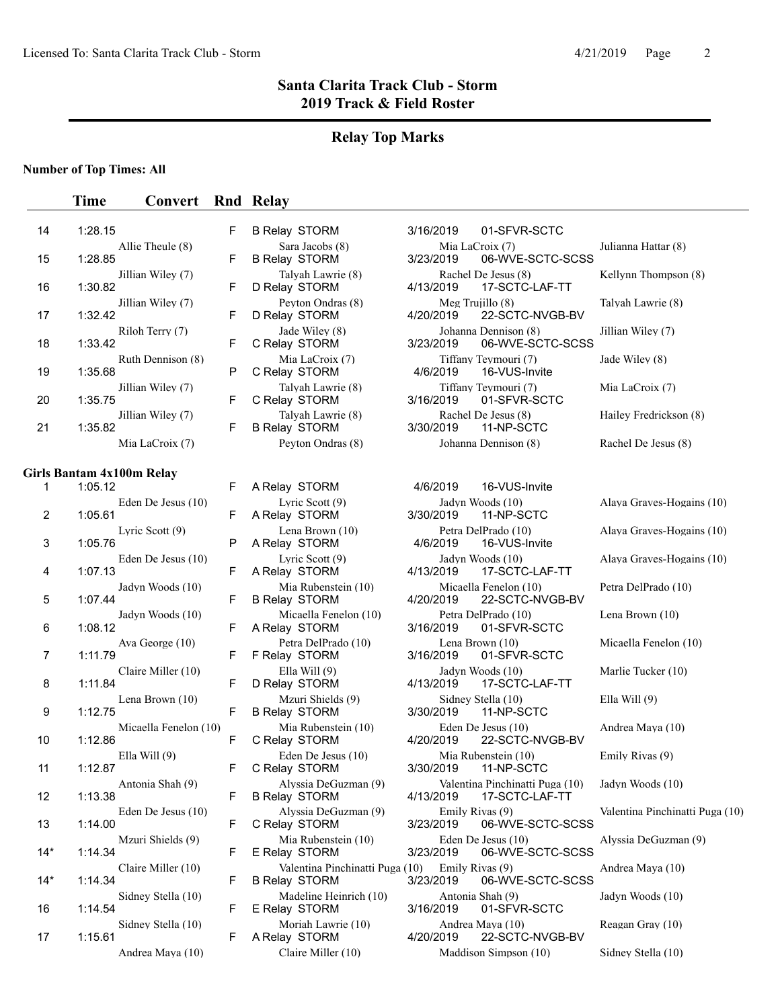# **Relay Top Marks**

### **Number of Top Times: All**

|                | <b>Time</b>               | Convert               |   | <b>Rnd Relay</b>                                        |                                                                |                                 |
|----------------|---------------------------|-----------------------|---|---------------------------------------------------------|----------------------------------------------------------------|---------------------------------|
| 14             | 1:28.15                   |                       | F | <b>B Relay STORM</b>                                    | 3/16/2019<br>01-SFVR-SCTC                                      |                                 |
| 15             | 1:28.85                   | Allie Theule (8)      | F | Sara Jacobs (8)<br><b>B Relay STORM</b>                 | Mia LaCroix (7)<br>3/23/2019<br>06-WVE-SCTC-SCSS               | Julianna Hattar (8)             |
| 16             | 1:30.82                   | Jillian Wiley (7)     | F | Talyah Lawrie (8)<br>D Relay STORM                      | Rachel De Jesus (8)<br>17-SCTC-LAF-TT<br>4/13/2019             | Kellynn Thompson (8)            |
| 17             | 1:32.42                   | Jillian Wiley (7)     | F | Peyton Ondras (8)<br>D Relay STORM                      | Meg Trujillo (8)<br>22-SCTC-NVGB-BV<br>4/20/2019               | Talyah Lawrie (8)               |
| 18             | 1:33.42                   | Riloh Terry (7)       | F | Jade Wiley (8)<br>C Relay STORM                         | Johanna Dennison (8)<br>3/23/2019<br>06-WVE-SCTC-SCSS          | Jillian Wiley (7)               |
| 19             | 1:35.68                   | Ruth Dennison (8)     | P | Mia LaCroix (7)<br>C Relay STORM                        | Tiffany Teymouri (7)<br>4/6/2019<br>16-VUS-Invite              | Jade Wiley (8)                  |
| 20             | 1:35.75                   | Jillian Wiley (7)     | F | Talyah Lawrie (8)<br>C Relay STORM                      | Tiffany Teymouri (7)<br>3/16/2019<br>01-SFVR-SCTC              | Mia LaCroix (7)                 |
| 21             | 1:35.82                   | Jillian Wiley (7)     | F | Talyah Lawrie (8)<br><b>B Relay STORM</b>               | Rachel De Jesus (8)<br>3/30/2019<br>11-NP-SCTC                 | Hailey Fredrickson (8)          |
|                |                           | Mia LaCroix (7)       |   | Peyton Ondras (8)                                       | Johanna Dennison (8)                                           | Rachel De Jesus (8)             |
|                | Girls Bantam 4x100m Relay |                       |   |                                                         |                                                                |                                 |
| $\mathbf{1}$   | 1:05.12                   |                       | F | A Relay STORM                                           | 16-VUS-Invite<br>4/6/2019                                      |                                 |
| $\overline{c}$ | 1:05.61                   | Eden De Jesus (10)    | F | Lyric Scott (9)<br>A Relay STORM                        | Jadyn Woods (10)<br>11-NP-SCTC<br>3/30/2019                    | Alaya Graves-Hogains (10)       |
| 3              | 1:05.76                   | Lyric Scott $(9)$     | P | Lena Brown (10)<br>A Relay STORM                        | Petra DelPrado (10)<br>4/6/2019<br>16-VUS-Invite               | Alaya Graves-Hogains (10)       |
| 4              | 1:07.13                   | Eden De Jesus (10)    | F | Lyric Scott (9)<br>A Relay STORM                        | Jadyn Woods (10)<br>4/13/2019<br>17-SCTC-LAF-TT                | Alaya Graves-Hogains (10)       |
| 5              | 1:07.44                   | Jadyn Woods (10)      | F | Mia Rubenstein (10)<br><b>B Relay STORM</b>             | Micaella Fenelon (10)<br>4/20/2019<br>22-SCTC-NVGB-BV          | Petra DelPrado (10)             |
| 6              | 1:08.12                   | Jadyn Woods (10)      | F | Micaella Fenelon (10)<br>A Relay STORM                  | Petra DelPrado (10)<br>3/16/2019<br>01-SFVR-SCTC               | Lena Brown (10)                 |
| $\overline{7}$ | 1:11.79                   | Ava George (10)       | F | Petra DelPrado (10)<br>F Relay STORM                    | Lena Brown (10)<br>3/16/2019<br>01-SFVR-SCTC                   | Micaella Fenelon (10)           |
| 8              | 1:11.84                   | Claire Miller (10)    | F | Ella Will $(9)$<br>D Relay STORM                        | Jadyn Woods (10)<br>17-SCTC-LAF-TT<br>4/13/2019                | Marlie Tucker (10)              |
| 9              | 1:12.75                   | Lena Brown (10)       | F | Mzuri Shields (9)<br><b>B Relay STORM</b>               | Sidney Stella (10)<br>3/30/2019<br>11-NP-SCTC                  | Ella Will $(9)$                 |
| 10             | 1:12.86                   | Micaella Fenelon (10) | F | Mia Rubenstein (10)<br>C Relay STORM                    | Eden De Jesus (10)<br>4/20/2019<br>22-SCTC-NVGB-BV             | Andrea Maya (10)                |
| 11             | 1:12.87                   | Ella Will $(9)$       | F | Eden De Jesus $(10)$<br>C Relay STORM                   | Mia Rubenstein (10)<br>11-NP-SCTC<br>3/30/2019                 | Emily Rivas (9)                 |
| 12             | 1:13.38                   | Antonia Shah (9)      | F | Alyssia DeGuzman (9)<br><b>B Relay STORM</b>            | Valentina Pinchinatti Puga (10)<br>4/13/2019<br>17-SCTC-LAF-TT | Jadyn Woods (10)                |
| 13             | 1:14.00                   | Eden De Jesus (10)    | F | Alyssia DeGuzman (9)<br>C Relay STORM                   | Emily Rivas (9)<br>06-WVE-SCTC-SCSS<br>3/23/2019               | Valentina Pinchinatti Puga (10) |
| $14*$          | 1:14.34                   | Mzuri Shields (9)     | F | Mia Rubenstein (10)<br>E Relay STORM                    | Eden De Jesus (10)<br>3/23/2019<br>06-WVE-SCTC-SCSS            | Alyssia DeGuzman (9)            |
| $14*$          | 1:14.34                   | Claire Miller (10)    | F | Valentina Pinchinatti Puga (10)<br><b>B Relay STORM</b> | Emily Rivas (9)<br>3/23/2019<br>06-WVE-SCTC-SCSS               | Andrea Maya (10)                |
| 16             | 1:14.54                   | Sidney Stella (10)    | F | Madeline Heinrich (10)<br>E Relay STORM                 | Antonia Shah (9)<br>3/16/2019<br>01-SFVR-SCTC                  | Jadyn Woods (10)                |
| 17             | 1:15.61                   | Sidney Stella (10)    | F | Moriah Lawrie (10)<br>A Relay STORM                     | Andrea Maya (10)<br>22-SCTC-NVGB-BV<br>4/20/2019               | Reagan Gray (10)                |
|                |                           | Andrea Maya (10)      |   | Claire Miller (10)                                      | Maddison Simpson (10)                                          | Sidney Stella (10)              |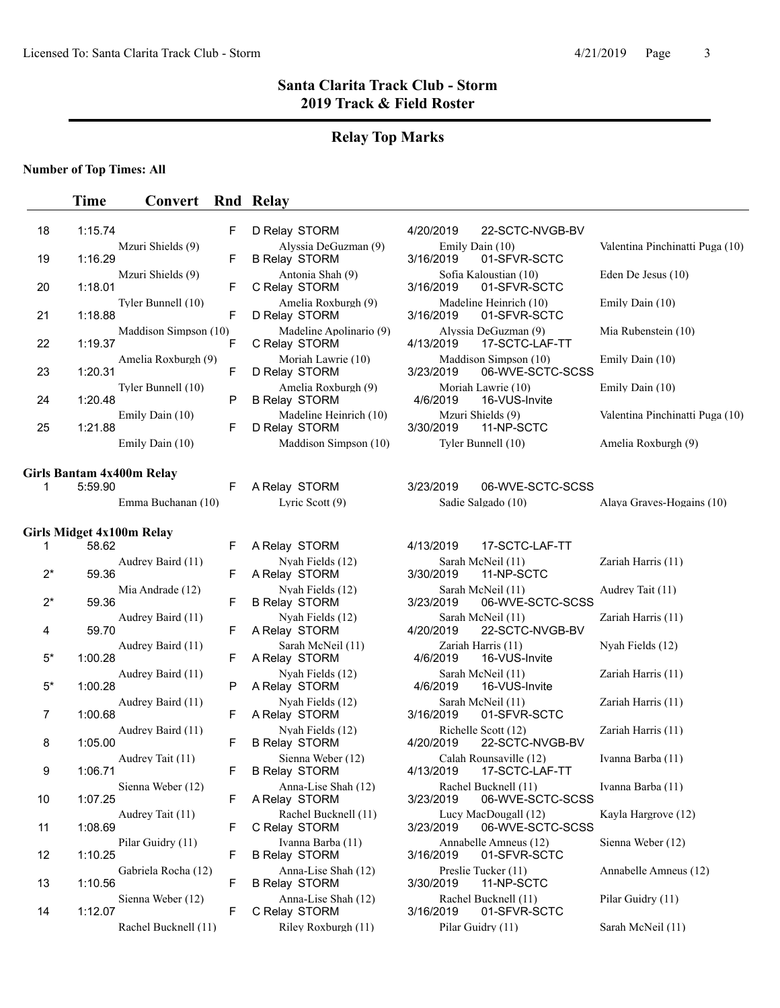### **Relay Top Marks**

#### **Number of Top Times: All**

### **Time Convert Rnd Relay** 18 1:15.74 F D Relay STORM 4/20/2019 22-SCTC-NVGB-BV Mzuri Shields (9) Alyssia DeGuzman (9) Emily Dain (10) Valentina Pinchinatti Puga (10) 19 1:16.29 F B Relay STORM 3/16/2019 01-SFVR-SCTC Mzuri Shields (9) Antonia Shah (9) Sofia Kaloustian (10) Eden De Jesus (10)<br>F C Relay STORM 3/16/2019 01-SFVR-SCTC 20 1:18.01 F C Relay STORM Tyler Bunnell (10) Amelia Roxburgh (9) Madeline Heinrich (10) Emily Dain (10) 21 1:18.88 F D Relay STORM 3/16/2019 01-SFVR-SCTC Maddison Simpson (10) Madeline Apolinario (9) Alyssia DeGuzman (9) Mia Rubenstein (10)<br>
F C Relay STORM 4/13/2019 17-SCTC-LAF-TT 22 1:19.37 F C Relay STORM 4/13/2019 17-SCTC-LAF-TT Amelia Roxburgh (9) Moriah Lawrie (10) Maddison Simpson (10) Emily Dain (10) 23 1:20.31 F D Relay STORM 3/23/2019 06-WVE-SCTC-SCSS Tyler Bunnell (10) <br>
P B Relay STORM 4/6/2019 16-VUS-Invite Emily Dain (10) 24 1:20.48 P B Relay STORM Emily Dain (10) Madeline Heinrich (10) Mzuri Shields (9) Valentina Pinchinatti Puga (10)<br>
F D Relay STORM 3/30/2019 11-NP-SCTC 25 1:21.88 F D Relay STORM 3/30/2019 11-NP-SCTC Emily Dain (10) Maddison Simpson (10) Tyler Bunnell (10) Amelia Roxburgh (9) **Girls Bantam 4x400m Relay**  1 5:59.90 F A Relay STORM 3/23/2019 06-WVE-SCTC-SCSS Emma Buchanan (10) Lyric Scott (9) Sadie Salgado (10) Alaya Graves-Hogains (10) **Girls Midget 4x100m Relay**  1 58.62 F A Relay STORM 4/13/2019 17-SCTC-LAF-TT Audrey Baird (11) Nyah Fields (12) Sarah McNeil (11) Zariah Harris (11) 2\* 59.36 **F** A Relay STORM 3/30/2019 11-NP-SCTC Mia Andrade (12) Nyah Fields (12) Sarah McNeil (11) Audrey Tait (11)<br>F B Relay STORM 3/23/2019 06-WVE-SCTC-SCSS 2\* 59.36 F B Relay STORM 3/23/2019 06-WVE-SCTC-SCSS Audrey Baird (11) Nyah Fields (12) Sarah McNeil (11) Zariah Harris (11)<br>F A Relay STORM 4/20/2019 22-SCTC-NVGB-BV 4 59.70 **F A Relay STORM 4/20/2019 22-SCTC-NVGB-BV** Audrey Baird (11) Sarah McNeil (11) Zariah Harris (11) Nyah Fields (12) 5\* 1:00.28 **F** A Relay STORM 4/6/2019 16-VUS-Invite Audrey Baird (11) Nyah Fields (12) Sarah McNeil (11) Zariah Harris (11)<br>P A Relay STORM 4/6/2019 16-VUS-Invite 5\* 1:00.28 P A Relay STORM 4/6/2019 Audrey Baird (11) Nyah Fields (12) Sarah McNeil (11) Zariah Harris (11)<br>F A Relay STORM 3/16/2019 01-SFVR-SCTC 7 1:00.68 F A Relay STORM 3/16/2019 01-SFVR-SCTC Audrey Baird (11) Nyah Fields (12) Richelle Scott (12) Zariah Harris (11)<br>F B Relay STORM 4/20/2019 22-SCTC-NVGB-BV 8 1:05.00 F B Relay STORM 4/20/2019 22-SCTC-NVGB-BV Audrey Tait (11) Sienna Weber (12) Calah Rounsaville (12) Ivanna Barba (11)<br>
F B Relav STORM 4/13/2019 17-SCTC-LAF-TT 9 1:06.71 F B Relay STORM 4/13/2019 17-SCTC-LAF-TT Sienna Weber (12) <br>
F A Relay STORM 3/23/2019 06-WVE-SCTC-SCSS 10 1:07.25 F A Relay STORM 3/23/2019 06-WVE-SCTC-SCSS Audrey Tait (11) Rachel Bucknell (11) Lucy MacDougall (12) Kayla Hargrove (12)<br>F C Relay STORM 3/23/2019 06-WVE-SCTC-SCSS 11 1:08.69 F C Relay STORM 3/23/2019 06-WVE-SCTC-SCSS Pilar Guidry (11) Ivanna Barba (11) Annabelle Amneus (12) Sienna Weber (12)<br>
F B Relay STORM 3/16/2019 01-SFVR-SCTC 12 1:10.25 F B Relay STORM 3/16/2019 01-SFVR-SCTC Gabriela Rocha (12) Anna-Lise Shah (12) Preslie Tucker (11) Annabelle Amneus (12) 13 1:10.56 F B Relay STORM 3/30/2019 11-NP-SCTC Sienna Weber (12) Anna-Lise Shah (12) Rachel Bucknell (11) Pilar Guidry (11)<br>F C Relay STORM 3/16/2019 01-SFVR-SCTC 14 1:12.07 F C Relay STORM Rachel Bucknell (11) Riley Roxburgh (11) Pilar Guidry (11) Sarah McNeil (11)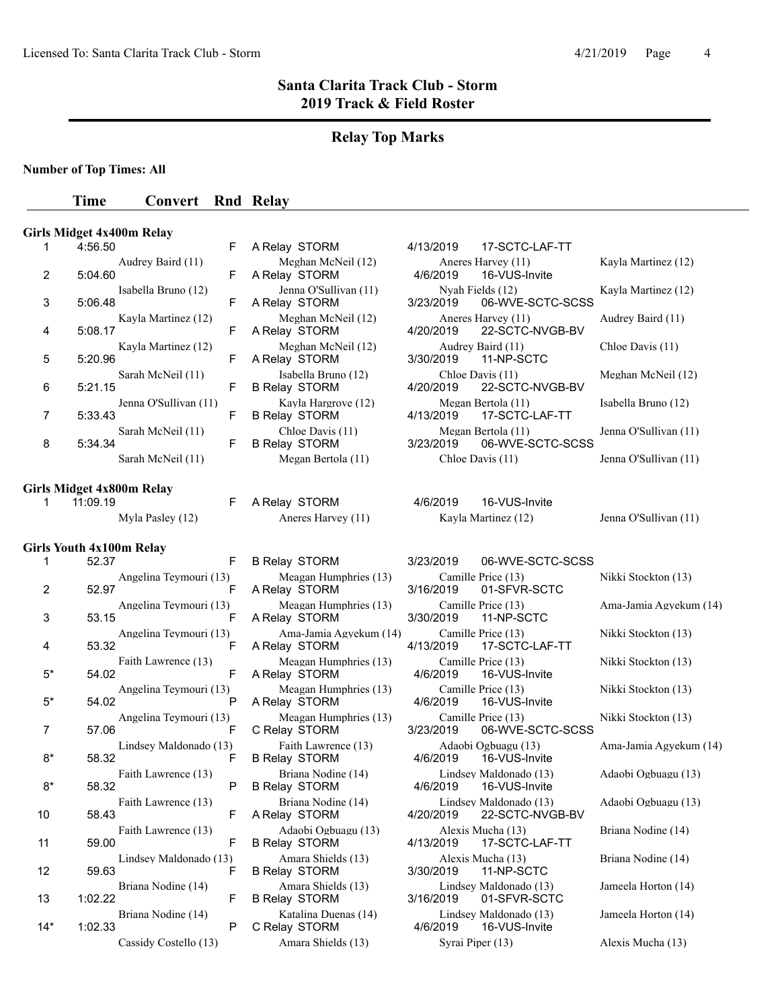# **Relay Top Marks**

**Number of Top Times: All**

### **Time Convert** Rnd Relay

|                |                                 | <b>Girls Midget 4x400m Relay</b> |   |                                             |           |                                           |                        |
|----------------|---------------------------------|----------------------------------|---|---------------------------------------------|-----------|-------------------------------------------|------------------------|
| 1              | 4:56.50                         |                                  | F | A Relay STORM                               | 4/13/2019 | 17-SCTC-LAF-TT                            |                        |
| 2              | 5:04.60                         | Audrey Baird (11)                | F | Meghan McNeil (12)<br>A Relay STORM         | 4/6/2019  | Aneres Harvey (11)<br>16-VUS-Invite       | Kayla Martinez (12)    |
| 3              | 5:06.48                         | Isabella Bruno (12)              | F | Jenna O'Sullivan (11)<br>A Relay STORM      | 3/23/2019 | Nyah Fields (12)<br>06-WVE-SCTC-SCSS      | Kayla Martinez (12)    |
| 4              | 5:08.17                         | Kayla Martinez (12)              | F | Meghan McNeil (12)<br>A Relay STORM         | 4/20/2019 | Aneres Harvey (11)<br>22-SCTC-NVGB-BV     | Audrey Baird (11)      |
| 5              | 5:20.96                         | Kayla Martinez (12)              | F | Meghan McNeil (12)<br>A Relay STORM         | 3/30/2019 | Audrey Baird (11)<br>11-NP-SCTC           | Chloe Davis (11)       |
| 6              | 5:21.15                         | Sarah McNeil (11)                | F | Isabella Bruno (12)<br><b>B Relay STORM</b> | 4/20/2019 | Chloe Davis (11)<br>22-SCTC-NVGB-BV       | Meghan McNeil (12)     |
| 7              | 5:33.43                         | Jenna O'Sullivan (11)            | F | Kayla Hargrove (12)<br><b>B Relay STORM</b> | 4/13/2019 | Megan Bertola (11)<br>17-SCTC-LAF-TT      | Isabella Bruno (12)    |
| 8              | 5:34.34                         | Sarah McNeil (11)                | F | Chloe Davis (11)<br><b>B Relay STORM</b>    | 3/23/2019 | Megan Bertola (11)<br>06-WVE-SCTC-SCSS    | Jenna O'Sullivan (11)  |
|                |                                 | Sarah McNeil (11)                |   | Megan Bertola (11)                          |           | Chloe Davis (11)                          | Jenna O'Sullivan (11)  |
|                |                                 | Girls Midget 4x800m Relay        |   |                                             |           |                                           |                        |
| 1              | 11:09.19                        |                                  | F | A Relay STORM                               | 4/6/2019  | 16-VUS-Invite                             |                        |
|                |                                 | Myla Pasley (12)                 |   | Aneres Harvey (11)                          |           | Kayla Martinez (12)                       | Jenna O'Sullivan (11)  |
|                | <b>Girls Youth 4x100m Relay</b> |                                  |   |                                             |           |                                           |                        |
| 1              | 52.37                           |                                  | F | <b>B Relay STORM</b>                        | 3/23/2019 | 06-WVE-SCTC-SCSS                          |                        |
|                |                                 | Angelina Teymouri (13)           |   | Meagan Humphries (13)                       |           | Camille Price (13)                        | Nikki Stockton (13)    |
| 2              | 52.97                           |                                  | F | A Relay STORM                               | 3/16/2019 | 01-SFVR-SCTC                              |                        |
| 3              | 53.15                           | Angelina Teymouri (13)           | F | Meagan Humphries (13)<br>A Relay STORM      | 3/30/2019 | Camille Price (13)<br>11-NP-SCTC          | Ama-Jamia Agyekum (14) |
| 4              | 53.32                           | Angelina Teymouri (13)           | F | Ama-Jamia Agyekum (14)<br>A Relay STORM     | 4/13/2019 | Camille Price (13)<br>17-SCTC-LAF-TT      | Nikki Stockton (13)    |
| $5^*$          | 54.02                           | Faith Lawrence (13)              | F | Meagan Humphries (13)<br>A Relay STORM      | 4/6/2019  | Camille Price (13)<br>16-VUS-Invite       | Nikki Stockton (13)    |
| $5^*$          | 54.02                           | Angelina Teymouri (13)           | Ρ | Meagan Humphries (13)<br>A Relay STORM      | 4/6/2019  | Camille Price (13)<br>16-VUS-Invite       | Nikki Stockton (13)    |
| $\overline{7}$ | 57.06                           | Angelina Teymouri (13)           | F | Meagan Humphries (13)<br>C Relay STORM      | 3/23/2019 | Camille Price (13)<br>06-WVE-SCTC-SCSS    | Nikki Stockton (13)    |
| $8*$           | 58.32                           | Lindsey Maldonado (13)           | F | Faith Lawrence (13)<br><b>B Relay STORM</b> | 4/6/2019  | Adaobi Ogbuagu (13)<br>16-VUS-Invite      | Ama-Jamia Agyekum (14) |
| $8*$           | 58.32                           | Faith Lawrence (13)              | P | Briana Nodine (14)<br><b>B Relay STORM</b>  | 4/6/2019  | Lindsey Maldonado (13)<br>16-VUS-Invite   | Adaobi Ogbuagu (13)    |
| 10             | 58.43                           | Faith Lawrence (13)              | F | Briana Nodine (14)<br>A Relay STORM         | 4/20/2019 | Lindsey Maldonado (13)<br>22-SCTC-NVGB-BV | Adaobi Ogbuagu (13)    |
| 11             | 59.00                           | Faith Lawrence (13)              | F | Adaobi Ogbuagu (13)<br><b>B Relay STORM</b> | 4/13/2019 | Alexis Mucha (13)<br>17-SCTC-LAF-TT       | Briana Nodine (14)     |
| 12             | 59.63                           | Lindsey Maldonado (13)           | F | Amara Shields (13)<br><b>B Relay STORM</b>  | 3/30/2019 | Alexis Mucha (13)<br>11-NP-SCTC           | Briana Nodine (14)     |
| 13             | 1:02.22                         | Briana Nodine (14)               | F | Amara Shields (13)<br><b>B Relay STORM</b>  | 3/16/2019 | Lindsey Maldonado (13)<br>01-SFVR-SCTC    | Jameela Horton (14)    |
| $14*$          | 1:02.33                         | Briana Nodine (14)               | P | Katalina Duenas (14)<br>C Relay STORM       | 4/6/2019  | Lindsey Maldonado (13)<br>16-VUS-Invite   | Jameela Horton (14)    |

Cassidy Costello (13) Amara Shields (13) Syrai Piper (13) Alexis Mucha (13)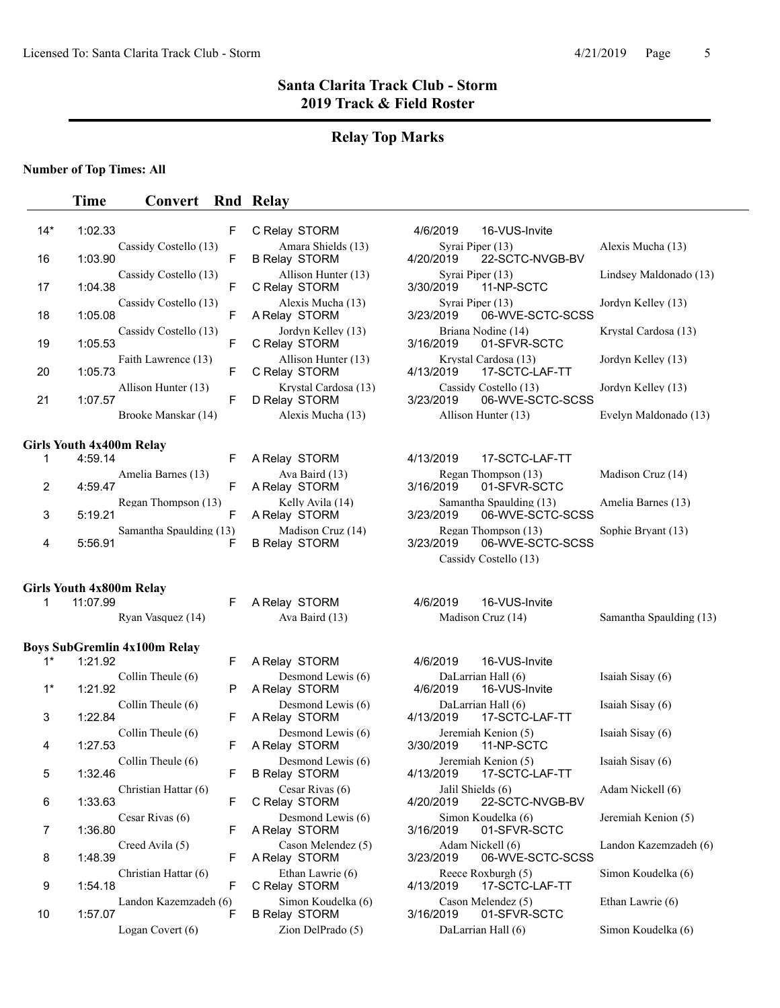### **Relay Top Marks**

#### **Number of Top Times: All**

### **Time Convert Rnd Relay** 14\* 1:02.33 F C Relay STORM 4/6/2019 16-VUS-Invite Cassidy Costello (13) Amara Shields (13) Syrai Piper (13) Alexis Mucha (13) 16 1:03.90 F B Relay STORM 4/20/2019 22-SCTC-NVGB-BV Cassidy Costello (13) Allison Hunter (13) Syrai Piper (13) Lindsey Maldonado (13)<br>
F C Relay STORM 3/30/2019 11-NP-SCTC 17 1:04.38 F C Relay STORM Cassidy Costello (13) <br>
F A Relay STORM 3/23/2019 06-WVE-SCTC-SCSS <br>
F A Relay STORM 3/23/2019 06-WVE-SCTC-SCSS 18 1:05.08 F A Relay STORM 3/23/2019 06-WVE-SCTC-SCSS Cassidy Costello (13) Jordyn Kelley (13) Briana Nodine (14) Krystal Cardosa (13)<br>
F C Relay STORM 3/16/2019 01-SFVR-SCTC 19 1:05.53 F C Relay STORM Faith Lawrence (13) Allison Hunter (13) Krystal Cardosa (13) Jordyn Kelley (13)<br>F C Relay STORM 4/13/2019 17-SCTC-LAF-TT 20 1:05.73 F C Relay STORM 4/13/2019 17-SCTC-LAF-TT Allison Hunter (13) Krystal Cardosa (13) Cassidy Costello (13) Jordyn Kelley (13)<br>F D Relay STORM 3/23/2019 06-WVE-SCTC-SCSS 21 1:07.57 F D Relay STORM 3/23/2019 06-WVE-SCTC-SCSS Brooke Manskar (14) Alexis Mucha (13) Allison Hunter (13) Evelyn Maldonado (13) **Girls Youth 4x400m Relay**  1 4:59.14 **F A Relay STORM** 4/13/2019 17-SCTC-LAF-TT Amelia Barnes (13) Ava Baird (13) Regan Thompson (13) Madison Cruz (14) 2 4:59.47 F A Relay STORM 3/16/2019 01-SFVR-SCTC Regan Thompson (13) Kelly Avila (14) Samantha Spaulding (13) Amelia Barnes (13) 3 5:19.21 **F A Relay STORM 3/23/2019 06-WVE-SCTC-SCSS** Samantha Spaulding (13) Madison Cruz (14) Regan Thompson (13) Sophie Bryant (13)<br>F B Relay STORM 3/23/2019 06-WVE-SCTC-SCSS 4 5:56.91 **F B Relay STORM 3/23/2019 06-WVE-SCTC-SCSS** Cassidy Costello (13) **Girls Youth 4x800m Relay**  1 11:07.99 **F A Relay STORM** 4/6/2019 16-VUS-Invite Ryan Vasquez (14) Ava Baird (13) Madison Cruz (14) Samantha Spaulding (13) **Boys SubGremlin 4x100m Relay**  1 A Relay STORM 4/6/2019 \* 1:21.92 F 16-VUS-Invite Collin Theule (6) Desmond Lewis (6) DaLarrian Hall (6) Isaiah Sisay (6)<br>P A Relay STORM 4/6/2019 16-VUS-Invite 1<sup>\*</sup> 1:21.92 P A Relay STORM Collin Theule (6) Desmond Lewis (6) DaLarrian Hall (6) Isaiah Sisay (6)<br>
F A Relay STORM 4/13/2019 17-SCTC-1 AF-TT 3 1:22.84 F A Relay STORM 4/13/2019 17-SCTC-LAF-TT Collin Theule (6) Desmond Lewis (6) Jeremiah Kenion (5) Isaiah Sisay (6)<br>
F A Relay STORM 3/30/2019 11-NP-SCTC 4 1:27.53 F A Relay STORM 3/30/2019 11-NP-SCTC Collin Theule (6) Desmond Lewis (6) Jeremiah Kenion (5) Isaiah Sisay (6) 5 1:32.46 F B Relay STORM 4/13/2019 17-SCTC-LAF-TT Christian Hattar (6) Cesar Rivas (6) Jalil Shields (6) Adam Nickell (6)<br>
F C Relay STORM 4/20/2019 22-SCTC-NVGB-BV 6 C Relay STORM 4/20/2019 1:33.63 F 22-SCTC-NVGB-BV Cesar Rivas (6) Desmond Lewis (6) Simon Koudelka (6) Jeremiah Kenion (5) 7 1:36.80 F A Relay STORM 3/16/2019 01-SFVR-SCTC Creed Avila (5) Cason Melendez (5) Adam Nickell (6) Landon Kazemzadeh (6)<br>F A Relay STORM 3/23/2019 06-WVE-SCTC-SCSS 8 1:48.39 F A Relay STORM 3/23/2019 06-WVE-SCTC-SCSS Christian Hattar (6) Ethan Lawrie (6) Reece Roxburgh (5) Simon Koudelka (6)<br>
F C Relay STORM 4/13/2019 17-SCTC-LAF-TT 9 1:54.18 F C Relay STORM 4/13/2019 17-SCTC-LAF-TT Landon Kazemzadeh (6) Simon Koudelka (6) Cason Melendez (5) Ethan Lawrie (6) 10 1:57.07 F B Relay STORM 3/16/2019 01-SFVR-SCTC Logan Covert (6) Zion DelPrado (5) DaLarrian Hall (6) Simon Koudelka (6)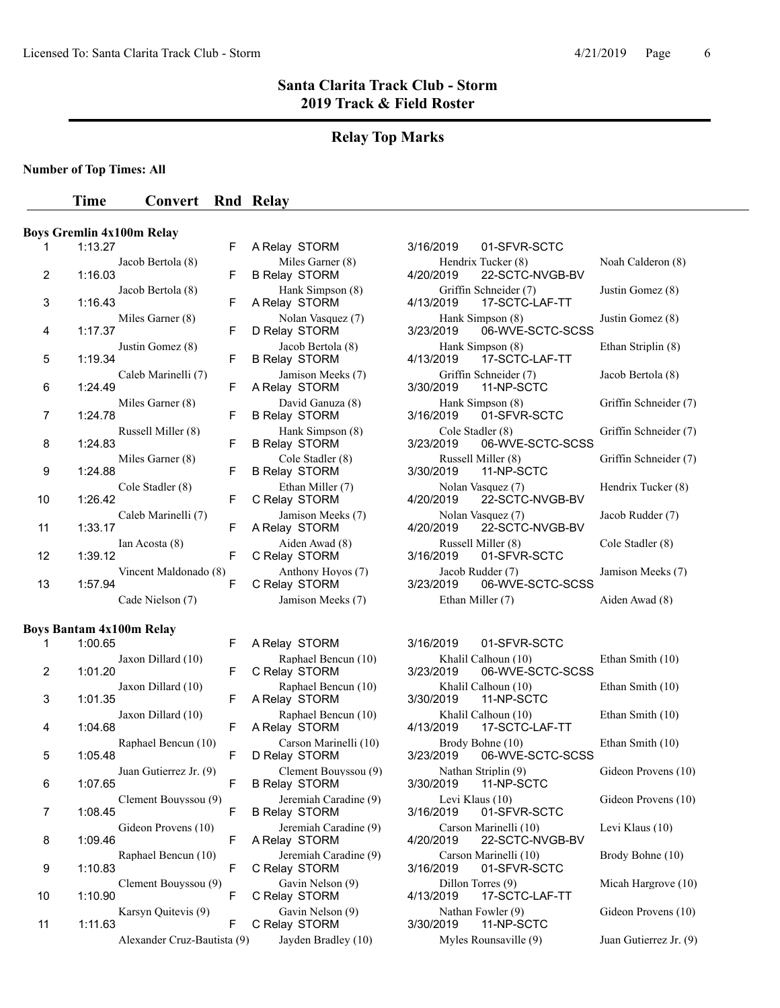### **Relay Top Marks**

**Number of Top Times: All**

#### **Time Convert Rnd Relay**

#### **Boys Gremlin 4x100m Relay**

| 1  | 1:13.27                          |
|----|----------------------------------|
|    | Jacob Bertola (8)                |
| 2  | 1:16.03<br>Jacob Bertola (8)     |
| 3  | 1:16.43                          |
| 4  | Miles Garner (8)<br>1:17.37      |
| 5  | Justin Gomez (8)<br>1:19.34      |
| 6  | Caleb Marinelli (7)<br>1:24.49   |
|    | Miles Garner (8)                 |
| 7  | 1:24.78<br>Russell Miller (8)    |
| 8  | 1:24.83                          |
| 9  | Miles Garner (8)<br>1:24.88      |
| 10 | Cole Stadler (8)<br>1:26.42      |
|    | Caleb Marinelli (7)              |
| 11 | 1:33.17<br>Ian Acosta (8)        |
| 12 | 1:39.12                          |
| 13 | Vincent Maldonado (8)<br>1:57.94 |
|    | Cade Nielson (7)                 |

#### **Boys Bantam 4x100m Relay**

| 1  | 1:00.65<br>F                           |  |
|----|----------------------------------------|--|
| 2  | Jaxon Dillard (10)<br>F<br>1:01.20     |  |
|    | Jaxon Dillard (10)                     |  |
| 3  | F<br>1:01.35                           |  |
| 4  | Jaxon Dillard (10)<br>F<br>1:04.68     |  |
|    | Raphael Bencun (10)                    |  |
| 5  | F<br>1:05.48                           |  |
| 6  | Juan Gutierrez Jr. (9)<br>1:07.65<br>F |  |
| 7  | Clement Bouyssou (9)<br>1:08.45<br>F   |  |
| 8  | Gideon Provens (10)<br>1:09.46<br>F    |  |
| 9  | Raphael Bencun (10)<br>F<br>1:10.83    |  |
| 10 | Clement Bouyssou (9)<br>1:10.90<br>F   |  |
| 11 | Karsyn Quitevis (9)<br>F<br>1:11.63    |  |
|    | Alexander Cruz-Bautista (9             |  |

| <b>B Relay STORM</b>                         |
|----------------------------------------------|
| Hank Simpson (8)<br>A Relay STORM            |
| Nolan Vasquez (7)<br>D Relay STORM           |
| Jacob Bertola (8)<br><b>B Relay STORM</b>    |
| Jamison Meeks (7)<br>A Relay STORM           |
| David Ganuza (8)<br><b>B Relay STORM</b>     |
| Hank Simpson (8)<br><b>B Relay STORM</b>     |
| Cole Stadler (8)<br><b>B Relay STORM</b>     |
| Ethan Miller (7)<br>C Relay STORM            |
| Jamison Meeks (7)<br>A Relay STORM           |
| Aiden Awad (8)<br>C Relay STORM              |
| Anthony Hoyos (7)<br>C Relay STORM           |
| Jamison Meeks (7)                            |
|                                              |
| A Relay STORM                                |
| Raphael Bencun (10)<br>C Relay STORM         |
| Raphael Bencun (10)<br>A Relay STORM         |
| Raphael Bencun (10)<br>A Relay STORM         |
| Carson Marinelli (10)<br>D Relay STORM       |
| Clement Bouyssou (9<br><b>B Relay STORM</b>  |
| Jeremiah Caradine (9<br><b>B Relay STORM</b> |
| Jeremiah Caradine (9                         |
|                                              |

C Relay STORM

F A Relay STORM 3/16/2019 01-SFVR-SCTC Miles Garner (8) Miles Garner (8) Hendrix Tucker (8) Noah Calderon (8)<br>F B Relay STORM 4/20/2019 22-SCTC-NVGB-BV 22-SCTC-NVGB-BV Hank Simpson (8) Griffin Schneider (7) Justin Gomez (8)<br>F A Relay STORM 4/13/2019 17-SCTC-LAF-TT 4/13/2019 17-SCTC-LAF-TT Nolan Vasquez (7) Miles Garner (8) Hank Simpson (8) Justin Gomez (8)<br>F D Relay STORM 3/23/2019 06-WVE-SCTC-SCSS 06-WVE-SCTC-SCSS Hank Simpson (8) Ethan Striplin (8) F B Relay STORM 4/13/2019 17-SCTC-LAF-TT Griffin Schneider (7) Jacob Bertola (8) F A Relay STORM 3/30/2019 11-NP-SCTC David Ganuza (8) Hank Simpson (8) Griffin Schneider (7)<br>F B Relay STORM 3/16/2019 01-SFVR-SCTC 01-SFVR-SCTC Hank Simpson (8) Cole Stadler (8) Griffin Schneider (7)<br>F B Relay STORM 3/23/2019 06-WVE-SCTC-SCSS 3/23/2019 06-WVE-SCTC-SCSS Cole Stadler (8) Russell Miller (8) Griffin Schneider (7)<br>F B Relay STORM 3/30/2019 11-NP-SCTC 11-NP-SCTC Ethan Miller (7) Molan Vasquez (7) Hendrix Tucker (8)<br>F C Relay STORM 4/20/2019 22-SCTC-NVGB-BV 4/20/2019 22-SCTC-NVGB-BV Jamison Meeks (7) Nolan Vasquez (7) Jacob Rudder (7)<br>F A Relay STORM 4/20/2019 22-SCTC-NVGB-BV 22-SCTC-NVGB-BV

Aiden Awad (8) Russell Miller (8) Cole Stadler (8)<br>
F C Relay STORM 3/16/2019 01-SFVR-SCTC 3/16/2019 01-SFVR-SCTC Anthony Hoyos (7) Jacob Rudder (7) Jamison Meeks (7)<br>F C Relay STORM 3/23/2019 06-WVE-SCTC-SCSS 06-WVE-SCTC-SCSS Ethan Miller (7) Aiden Awad (8)

3/16/2019 01-SFVR-SCTC Khalil Calhoun (10) Ethan Smith (10) 3/23/2019 06-WVE-SCTC-SCSS Khalil Calhoun (10) Ethan Smith (10) 3/30/2019 11-NP-SCTC Khalil Calhoun (10) Ethan Smith (10)<br>4/13/2019 17-SCTC-LAF-TT 17-SCTC-LAF-TT Brody Bohne (10) Ethan Smith (10) 3/23/2019 06-WVE-SCTC-SCSS  $J$  Nathan Striplin (9) Gideon Provens (10)  $3/30/2019$  11-NP-SCTC 11-NP-SCTC Levi Klaus (10) Gideon Provens (10) 3/16/2019 01-SFVR-SCTC Jeremiah Caradine (9) Carson Marinelli (10) Levi Klaus (10)<br>A Relay STORM  $4/20/2019$  22-SCTC-NVGB-BV 22-SCTC-NVGB-BV Jeremiah Caradine (9) Carson Marinelli (10) Brody Bohne (10)<br>  $\begin{array}{ccc}\n\text{Box} & \text{S/16/2019} \\
\text{O1-SFVR-SCTC}\n\end{array}$ C Relay STORM 3/16/2019 01-SFVR-SCTC Gavin Nelson (9) Cillon Torres (9) Micah Hargrove (10)<br>  $\begin{array}{ccc}\n\text{A/13/2019} & \text{17-SCTC-LAF-TT}\n\end{array}$ Gavin Nelson (9) Nathan Fowler (9) Gideon Provens (10) C Relay STORM 3/30/2019 11-NP-SCTC Alexander Cruz-Bautista (10) Myles Rounsaville (9) Juan Gutierrez Jr. (9)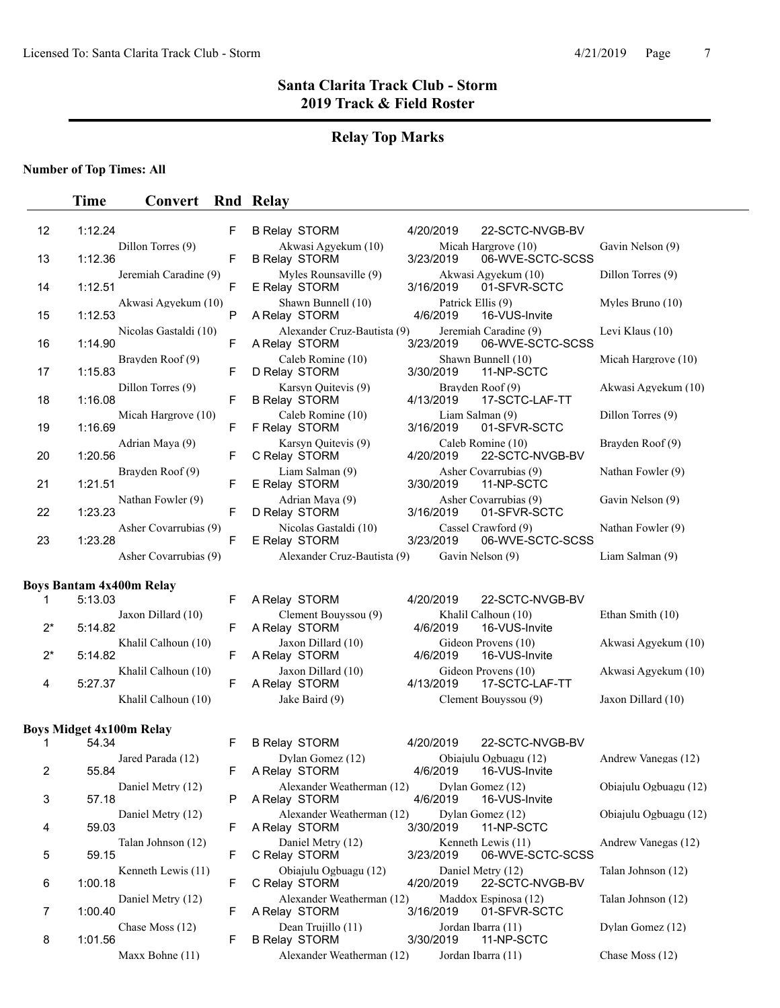# **Relay Top Marks**

**Number of Top Times: All**

# **Time Convert Rnd Relay**

| 12    | 1:12.24 |                                 | F            | <b>B Relay STORM</b>                         | 4/20/2019 |                   | 22-SCTC-NVGB-BV                           |                       |
|-------|---------|---------------------------------|--------------|----------------------------------------------|-----------|-------------------|-------------------------------------------|-----------------------|
| 13    | 1:12.36 | Dillon Torres (9)               | F            | Akwasi Agyekum (10)<br><b>B Relay STORM</b>  | 3/23/2019 |                   | Micah Hargrove (10)<br>06-WVE-SCTC-SCSS   | Gavin Nelson (9)      |
| 14    | 1:12.51 | Jeremiah Caradine (9)           | F            | Myles Rounsaville (9)<br>E Relay STORM       | 3/16/2019 |                   | Akwasi Agyekum (10)<br>01-SFVR-SCTC       | Dillon Torres (9)     |
| 15    | 1:12.53 | Akwasi Agyekum (10)             | P            | Shawn Bunnell (10)<br>A Relay STORM          | 4/6/2019  | Patrick Ellis (9) | 16-VUS-Invite                             | Myles Bruno $(10)$    |
| 16    | 1:14.90 | Nicolas Gastaldi (10)           | F            | Alexander Cruz-Bautista (9)<br>A Relay STORM | 3/23/2019 |                   | Jeremiah Caradine (9)<br>06-WVE-SCTC-SCSS | Levi Klaus (10)       |
| 17    | 1:15.83 | Brayden Roof (9)                | F            | Caleb Romine (10)<br>D Relay STORM           | 3/30/2019 |                   | Shawn Bunnell (10)<br>11-NP-SCTC          | Micah Hargrove (10)   |
| 18    | 1:16.08 | Dillon Torres (9)               | F            | Karsyn Quitevis (9)<br><b>B Relay STORM</b>  | 4/13/2019 |                   | Brayden Roof (9)<br>17-SCTC-LAF-TT        | Akwasi Agyekum (10)   |
| 19    | 1:16.69 | Micah Hargrove (10)             | F            | Caleb Romine (10)<br>F Relay STORM           | 3/16/2019 | Liam Salman (9)   | 01-SFVR-SCTC                              | Dillon Torres (9)     |
| 20    | 1:20.56 | Adrian Maya (9)                 | F            | Karsyn Quitevis (9)<br>C Relay STORM         | 4/20/2019 |                   | Caleb Romine (10)<br>22-SCTC-NVGB-BV      | Brayden Roof (9)      |
| 21    | 1:21.51 | Brayden Roof (9)                | F            | Liam Salman (9)<br>E Relay STORM             | 3/30/2019 |                   | Asher Covarrubias (9)<br>11-NP-SCTC       | Nathan Fowler (9)     |
| 22    | 1:23.23 | Nathan Fowler (9)               | F            | Adrian Maya (9)<br>D Relay STORM             | 3/16/2019 |                   | Asher Covarrubias (9)<br>01-SFVR-SCTC     | Gavin Nelson (9)      |
| 23    | 1:23.28 | Asher Covarrubias (9)           | F            | Nicolas Gastaldi (10)<br>E Relay STORM       | 3/23/2019 |                   | Cassel Crawford (9)<br>06-WVE-SCTC-SCSS   | Nathan Fowler (9)     |
|       |         | Asher Covarrubias (9)           |              | Alexander Cruz-Bautista (9)                  |           | Gavin Nelson (9)  |                                           | Liam Salman (9)       |
|       |         | <b>Boys Bantam 4x400m Relay</b> |              |                                              |           |                   |                                           |                       |
| 1     | 5:13.03 |                                 | F            | A Relay STORM                                | 4/20/2019 |                   | 22-SCTC-NVGB-BV                           |                       |
| $2^*$ | 5:14.82 | Jaxon Dillard (10)              | F            | Clement Bouyssou (9)<br>A Relay STORM        | 4/6/2019  |                   | Khalil Calhoun (10)<br>16-VUS-Invite      | Ethan Smith (10)      |
| $2^*$ | 5:14.82 | Khalil Calhoun (10)             | F            | Jaxon Dillard (10)<br>A Relay STORM          | 4/6/2019  |                   | Gideon Provens (10)<br>16-VUS-Invite      | Akwasi Agyekum (10)   |
| 4     | 5:27.37 | Khalil Calhoun (10)             | F            | Jaxon Dillard (10)<br>A Relay STORM          | 4/13/2019 |                   | Gideon Provens (10)<br>17-SCTC-LAF-TT     | Akwasi Agyekum (10)   |
|       |         | Khalil Calhoun (10)             |              | Jake Baird (9)                               |           |                   | Clement Bouyssou (9)                      | Jaxon Dillard (10)    |
|       |         | <b>Boys Midget 4x100m Relay</b> |              |                                              |           |                   |                                           |                       |
| 1     | 54.34   |                                 | F            | <b>B Relay STORM</b>                         | 4/20/2019 |                   | 22-SCTC-NVGB-BV                           |                       |
| 2     | 55.84   | Jared Parada (12)               | F            | Dylan Gomez (12)<br>A Relay STORM            | 4/6/2019  |                   | Obiajulu Ogbuagu (12)<br>16-VUS-Invite    | Andrew Vanegas (12)   |
| 3     | 57.18   | Daniel Metry (12)               | $\mathsf{P}$ | Alexander Weatherman (12)<br>A Relay STORM   | 4/6/2019  |                   | Dylan Gomez (12)<br>16-VUS-Invite         | Obiajulu Ogbuagu (12) |
| 4     | 59.03   | Daniel Metry (12)               | F            | Alexander Weatherman (12)<br>A Relay STORM   | 3/30/2019 |                   | Dylan Gomez (12)<br>11-NP-SCTC            | Obiajulu Ogbuagu (12) |
| 5     | 59.15   | Talan Johnson (12)              | F            | Daniel Metry (12)<br>C Relay STORM           | 3/23/2019 |                   | Kenneth Lewis (11)<br>06-WVE-SCTC-SCSS    | Andrew Vanegas (12)   |
| 6     | 1:00.18 | Kenneth Lewis (11)              | F            | Obiajulu Ogbuagu (12)<br>C Relay STORM       | 4/20/2019 |                   | Daniel Metry (12)<br>22-SCTC-NVGB-BV      | Talan Johnson (12)    |
| 7     | 1:00.40 | Daniel Metry (12)               | F            | Alexander Weatherman (12)<br>A Relay STORM   | 3/16/2019 |                   | Maddox Espinosa (12)<br>01-SFVR-SCTC      | Talan Johnson (12)    |
| 8     | 1:01.56 | Chase Moss (12)                 | F            | Dean Trujillo (11)<br><b>B Relay STORM</b>   | 3/30/2019 |                   | Jordan Ibarra (11)<br>11-NP-SCTC          | Dylan Gomez (12)      |
|       |         | Maxx Bohne (11)                 |              | Alexander Weatherman (12)                    |           |                   | Jordan Ibarra (11)                        | Chase Moss (12)       |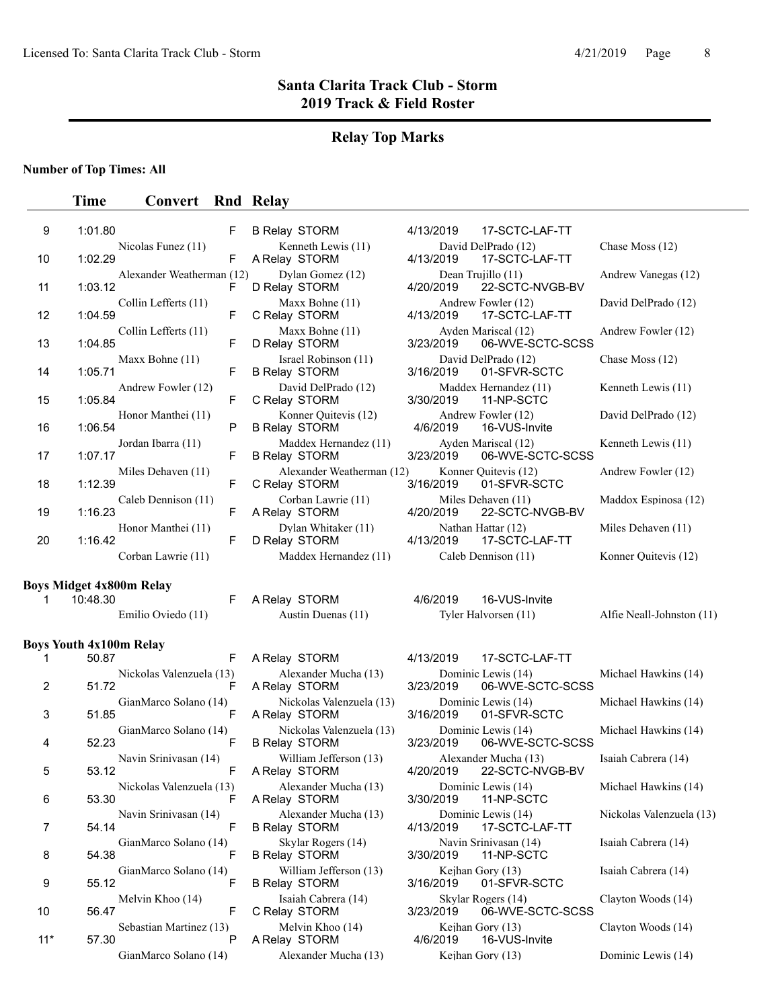# **Relay Top Marks**

**Number of Top Times: All**

### **Time Convert** Rnd Relay

| 9     | 1:01.80                        |                                 | F | <b>B Relay STORM</b>                             | 4/13/2019             | 17-SCTC-LAF-TT                          |                           |
|-------|--------------------------------|---------------------------------|---|--------------------------------------------------|-----------------------|-----------------------------------------|---------------------------|
| 10    | 1:02.29                        | Nicolas Funez (11)              | F | Kenneth Lewis (11)<br>A Relay STORM              | 4/13/2019             | David DelPrado (12)<br>17-SCTC-LAF-TT   | Chase Moss (12)           |
| 11    | 1:03.12                        | Alexander Weatherman (12)       | F | Dylan Gomez (12)<br>D Relay STORM                | 4/20/2019             | Dean Trujillo (11)<br>22-SCTC-NVGB-BV   | Andrew Vanegas (12)       |
| 12    | 1:04.59                        | Collin Lefferts (11)            | F | Maxx Bohne (11)<br>C Relay STORM                 | 4/13/2019             | Andrew Fowler (12)<br>17-SCTC-LAF-TT    | David DelPrado (12)       |
| 13    | 1:04.85                        | Collin Lefferts (11)            | F | Maxx Bohne (11)<br>D Relay STORM                 | 3/23/2019             | Ayden Mariscal (12)<br>06-WVE-SCTC-SCSS | Andrew Fowler (12)        |
| 14    | 1:05.71                        | Maxx Bohne (11)                 | F | Israel Robinson (11)<br><b>B Relay STORM</b>     | 3/16/2019             | David DelPrado (12)<br>01-SFVR-SCTC     | Chase Moss (12)           |
| 15    | 1:05.84                        | Andrew Fowler (12)              | F | David DelPrado (12)<br>C Relay STORM             | 3/30/2019             | Maddex Hernandez (11)<br>11-NP-SCTC     | Kenneth Lewis (11)        |
| 16    | 1:06.54                        | Honor Manthei (11)              | P | Konner Quitevis (12)<br><b>B Relay STORM</b>     | 4/6/2019              | Andrew Fowler (12)<br>16-VUS-Invite     | David DelPrado (12)       |
| 17    | 1:07.17                        | Jordan Ibarra (11)              | F | Maddex Hernandez (11)<br><b>B Relay STORM</b>    | 3/23/2019             | Ayden Mariscal (12)<br>06-WVE-SCTC-SCSS | Kenneth Lewis (11)        |
| 18    | 1:12.39                        | Miles Dehaven (11)              | F | Alexander Weatherman (12)<br>C Relay STORM       | 3/16/2019             | Konner Quitevis (12)<br>01-SFVR-SCTC    | Andrew Fowler (12)        |
| 19    | 1:16.23                        | Caleb Dennison (11)             | F | Corban Lawrie (11)<br>A Relay STORM              | 4/20/2019             | Miles Dehaven (11)<br>22-SCTC-NVGB-BV   | Maddox Espinosa (12)      |
| 20    | 1:16.42                        | Honor Manthei (11)              | F | Dylan Whitaker (11)<br>D Relay STORM             | 4/13/2019             | Nathan Hattar (12)<br>17-SCTC-LAF-TT    | Miles Dehaven (11)        |
|       |                                | Corban Lawrie (11)              |   | Maddex Hernandez (11)                            |                       | Caleb Dennison (11)                     | Konner Quitevis (12)      |
|       |                                | <b>Boys Midget 4x800m Relay</b> |   |                                                  |                       |                                         |                           |
| 1     | 10:48.30                       |                                 | F | A Relay STORM                                    | 4/6/2019              | 16-VUS-Invite                           |                           |
|       |                                | Emilio Oviedo (11)              |   | Austin Duenas (11)                               |                       | Tyler Halvorsen (11)                    | Alfie Neall-Johnston (11) |
|       | <b>Boys Youth 4x100m Relay</b> |                                 |   |                                                  |                       |                                         |                           |
| 1     | 50.87                          |                                 | F | A Relay STORM                                    | 4/13/2019             | 17-SCTC-LAF-TT                          |                           |
| 2     | 51.72                          | Nickolas Valenzuela (13)        | F | Alexander Mucha (13)<br>A Relay STORM            | 3/23/2019             | Dominic Lewis (14)<br>06-WVE-SCTC-SCSS  | Michael Hawkins (14)      |
| 3     | 51.85                          | GianMarco Solano (14)           | F | Nickolas Valenzuela (13)<br>A Relay STORM        | 3/16/2019             | Dominic Lewis (14)<br>01-SFVR-SCTC      | Michael Hawkins (14)      |
| 4     | 52.23                          | GianMarco Solano (14)           | F | Nickolas Valenzuela (13)<br><b>B Relay STORM</b> | 3/23/2019             | Dominic Lewis (14)<br>06-WVE-SCTC-SCSS  | Michael Hawkins (14)      |
| 5     | 53.12                          | Navin Srinivasan (14)           | F | William Jefferson (13)<br>A Relay STORM          | 4/20/2019             | Alexander Mucha (13)<br>22-SCTC-NVGB-BV | Isaiah Cabrera (14)       |
| 6     | 53.30                          | Nickolas Valenzuela (13)        |   | Alexander Mucha (13)<br>A Relay STORM            | 3/30/2019  11-NP-SCTC | Dominic Lewis (14)                      | Michael Hawkins (14)      |
| 7     | 54.14                          | Navin Srinivasan (14)           | F | Alexander Mucha (13)<br><b>B Relay STORM</b>     | 4/13/2019             | Dominic Lewis (14)<br>17-SCTC-LAF-TT    | Nickolas Valenzuela (13)  |
| 8     | 54.38                          | GianMarco Solano (14)           | F | Skylar Rogers (14)<br><b>B Relay STORM</b>       | 3/30/2019             | Navin Srinivasan (14)<br>11-NP-SCTC     | Isaiah Cabrera (14)       |
| 9     | 55.12                          | GianMarco Solano (14)           | F | William Jefferson (13)<br><b>B Relay STORM</b>   | 3/16/2019             | Kejhan Gory (13)<br>01-SFVR-SCTC        | Isaiah Cabrera (14)       |
| 10    | 56.47                          | Melvin Khoo (14)                | F | Isaiah Cabrera (14)<br>C Relay STORM             | 3/23/2019             | Skylar Rogers (14)<br>06-WVE-SCTC-SCSS  | Clayton Woods (14)        |
| $11*$ |                                | Sebastian Martinez (13)         | P | Melvin Khoo (14)<br>A Relay STORM                | 4/6/2019              | Kejhan Gory (13)<br>16-VUS-Invite       | Clayton Woods (14)        |
|       | 57.30                          |                                 |   |                                                  |                       |                                         |                           |